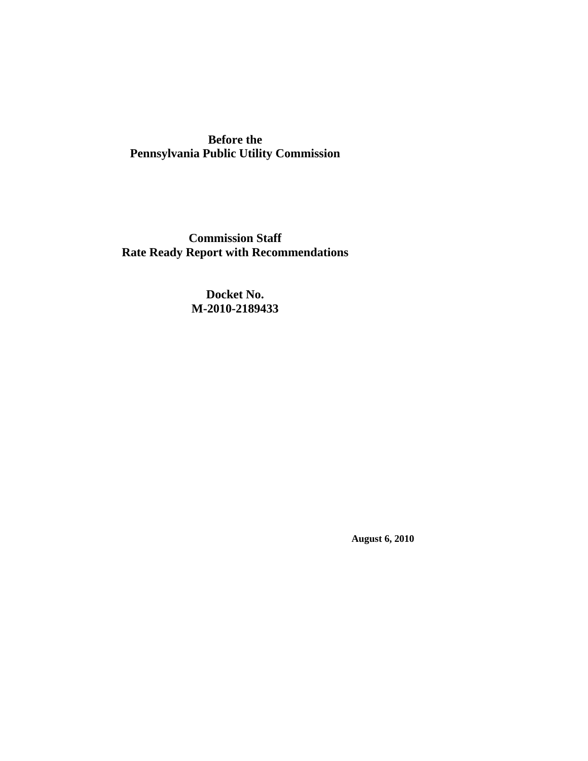**Before the Pennsylvania Public Utility Commission** 

**Commission Staff Rate Ready Report with Recommendations** 

> **Docket No. M-2010-2189433**

> > **August 6, 2010**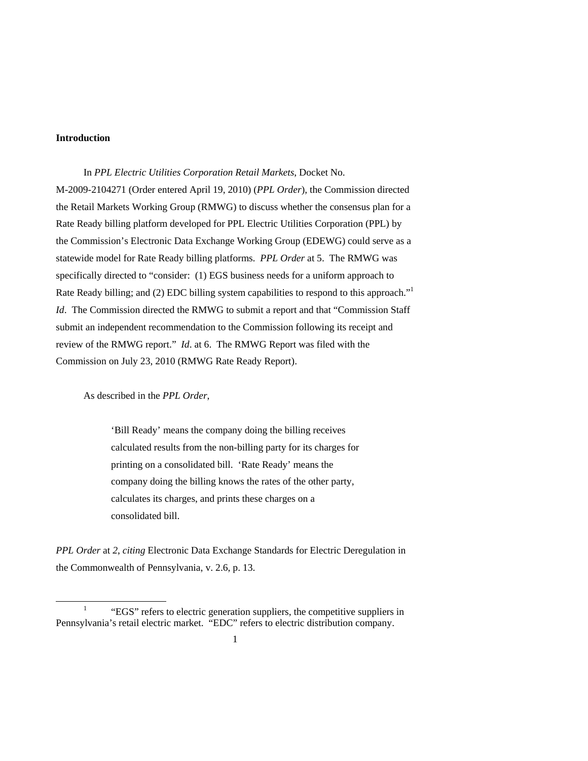# **Introduction**

 In *PPL Electric Utilities Corporation Retail Markets*, Docket No. M-2009-2104271 (Order entered April 19, 2010) (*PPL Order*), the Commission directed the Retail Markets Working Group (RMWG) to discuss whether the consensus plan for a Rate Ready billing platform developed for PPL Electric Utilities Corporation (PPL) by the Commission's Electronic Data Exchange Working Group (EDEWG) could serve as a statewide model for Rate Ready billing platforms. *PPL Order* at 5. The RMWG was specifically directed to "consider: (1) EGS business needs for a uniform approach to Rate Ready billing; and (2) EDC billing system capabilities to respond to this approach."<sup>1</sup> *Id*. The Commission directed the RMWG to submit a report and that "Commission Staff" submit an independent recommendation to the Commission following its receipt and review of the RMWG report." *Id*. at 6. The RMWG Report was filed with the Commission on July 23, 2010 (RMWG Rate Ready Report).

As described in the *PPL Order*,

'Bill Ready' means the company doing the billing receives calculated results from the non-billing party for its charges for printing on a consolidated bill. 'Rate Ready' means the company doing the billing knows the rates of the other party, calculates its charges, and prints these charges on a consolidated bill.

*PPL Order* at *2*, *citing* Electronic Data Exchange Standards for Electric Deregulation in the Commonwealth of Pennsylvania, v. 2.6, p. 13.

 $\overline{\phantom{a}}$  "EGS" refers to electric generation suppliers, the competitive suppliers in Pennsylvania's retail electric market. "EDC" refers to electric distribution company.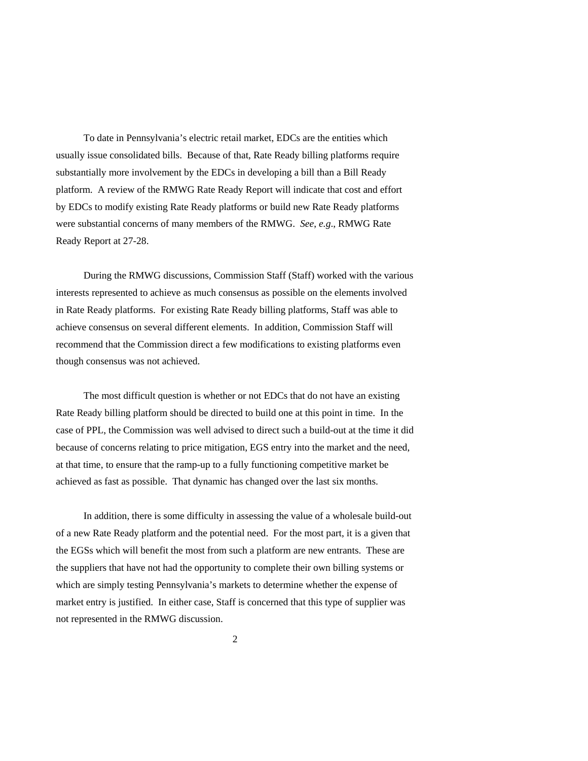To date in Pennsylvania's electric retail market, EDCs are the entities which usually issue consolidated bills. Because of that, Rate Ready billing platforms require substantially more involvement by the EDCs in developing a bill than a Bill Ready platform. A review of the RMWG Rate Ready Report will indicate that cost and effort by EDCs to modify existing Rate Ready platforms or build new Rate Ready platforms were substantial concerns of many members of the RMWG. *See*, *e.g*., RMWG Rate Ready Report at 27-28.

 During the RMWG discussions, Commission Staff (Staff) worked with the various interests represented to achieve as much consensus as possible on the elements involved in Rate Ready platforms. For existing Rate Ready billing platforms, Staff was able to achieve consensus on several different elements. In addition, Commission Staff will recommend that the Commission direct a few modifications to existing platforms even though consensus was not achieved.

 The most difficult question is whether or not EDCs that do not have an existing Rate Ready billing platform should be directed to build one at this point in time. In the case of PPL, the Commission was well advised to direct such a build-out at the time it did because of concerns relating to price mitigation, EGS entry into the market and the need, at that time, to ensure that the ramp-up to a fully functioning competitive market be achieved as fast as possible. That dynamic has changed over the last six months.

 In addition, there is some difficulty in assessing the value of a wholesale build-out of a new Rate Ready platform and the potential need. For the most part, it is a given that the EGSs which will benefit the most from such a platform are new entrants. These are the suppliers that have not had the opportunity to complete their own billing systems or which are simply testing Pennsylvania's markets to determine whether the expense of market entry is justified. In either case, Staff is concerned that this type of supplier was not represented in the RMWG discussion.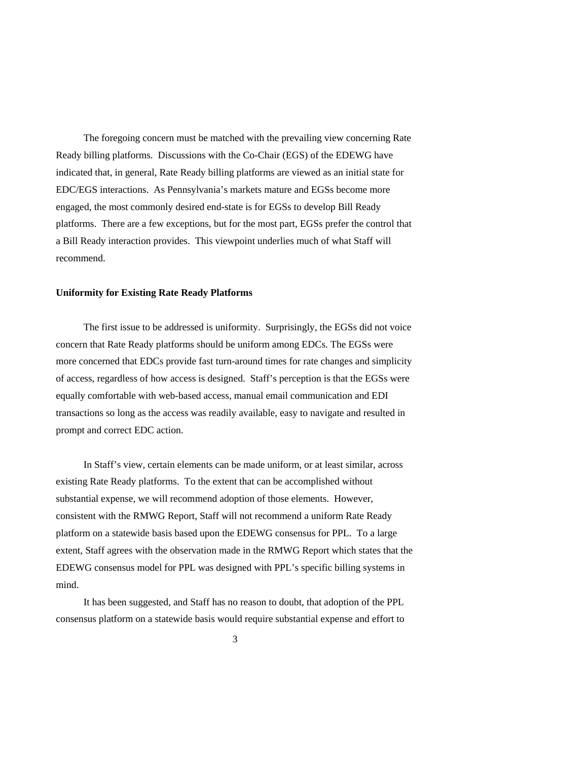The foregoing concern must be matched with the prevailing view concerning Rate Ready billing platforms. Discussions with the Co-Chair (EGS) of the EDEWG have indicated that, in general, Rate Ready billing platforms are viewed as an initial state for EDC/EGS interactions. As Pennsylvania's markets mature and EGSs become more engaged, the most commonly desired end-state is for EGSs to develop Bill Ready platforms. There are a few exceptions, but for the most part, EGSs prefer the control that a Bill Ready interaction provides. This viewpoint underlies much of what Staff will recommend.

### **Uniformity for Existing Rate Ready Platforms**

 The first issue to be addressed is uniformity. Surprisingly, the EGSs did not voice concern that Rate Ready platforms should be uniform among EDCs. The EGSs were more concerned that EDCs provide fast turn-around times for rate changes and simplicity of access, regardless of how access is designed. Staff's perception is that the EGSs were equally comfortable with web-based access, manual email communication and EDI transactions so long as the access was readily available, easy to navigate and resulted in prompt and correct EDC action.

 In Staff's view, certain elements can be made uniform, or at least similar, across existing Rate Ready platforms. To the extent that can be accomplished without substantial expense, we will recommend adoption of those elements. However, consistent with the RMWG Report, Staff will not recommend a uniform Rate Ready platform on a statewide basis based upon the EDEWG consensus for PPL. To a large extent, Staff agrees with the observation made in the RMWG Report which states that the EDEWG consensus model for PPL was designed with PPL's specific billing systems in mind.

 It has been suggested, and Staff has no reason to doubt, that adoption of the PPL consensus platform on a statewide basis would require substantial expense and effort to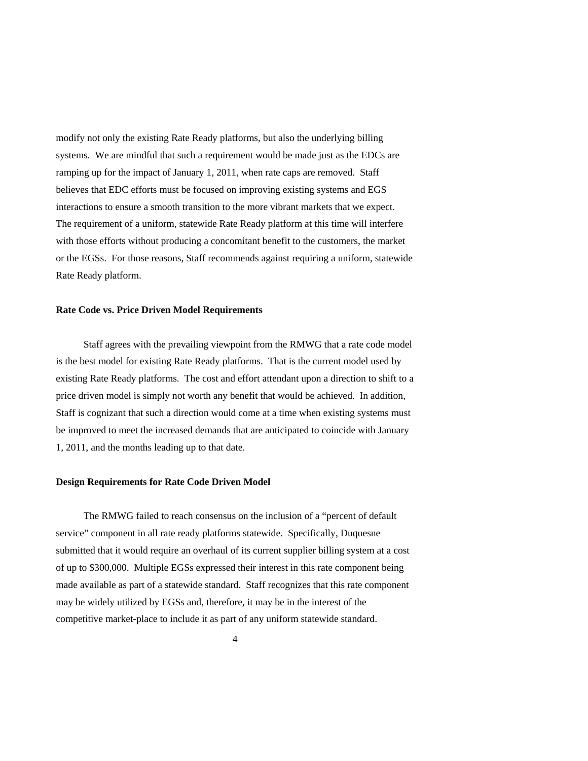modify not only the existing Rate Ready platforms, but also the underlying billing systems. We are mindful that such a requirement would be made just as the EDCs are ramping up for the impact of January 1, 2011, when rate caps are removed. Staff believes that EDC efforts must be focused on improving existing systems and EGS interactions to ensure a smooth transition to the more vibrant markets that we expect. The requirement of a uniform, statewide Rate Ready platform at this time will interfere with those efforts without producing a concomitant benefit to the customers, the market or the EGSs. For those reasons, Staff recommends against requiring a uniform, statewide Rate Ready platform.

#### **Rate Code vs. Price Driven Model Requirements**

Staff agrees with the prevailing viewpoint from the RMWG that a rate code model is the best model for existing Rate Ready platforms. That is the current model used by existing Rate Ready platforms. The cost and effort attendant upon a direction to shift to a price driven model is simply not worth any benefit that would be achieved. In addition, Staff is cognizant that such a direction would come at a time when existing systems must be improved to meet the increased demands that are anticipated to coincide with January 1, 2011, and the months leading up to that date.

### **Design Requirements for Rate Code Driven Model**

 The RMWG failed to reach consensus on the inclusion of a "percent of default service" component in all rate ready platforms statewide. Specifically, Duquesne submitted that it would require an overhaul of its current supplier billing system at a cost of up to \$300,000. Multiple EGSs expressed their interest in this rate component being made available as part of a statewide standard. Staff recognizes that this rate component may be widely utilized by EGSs and, therefore, it may be in the interest of the competitive market-place to include it as part of any uniform statewide standard.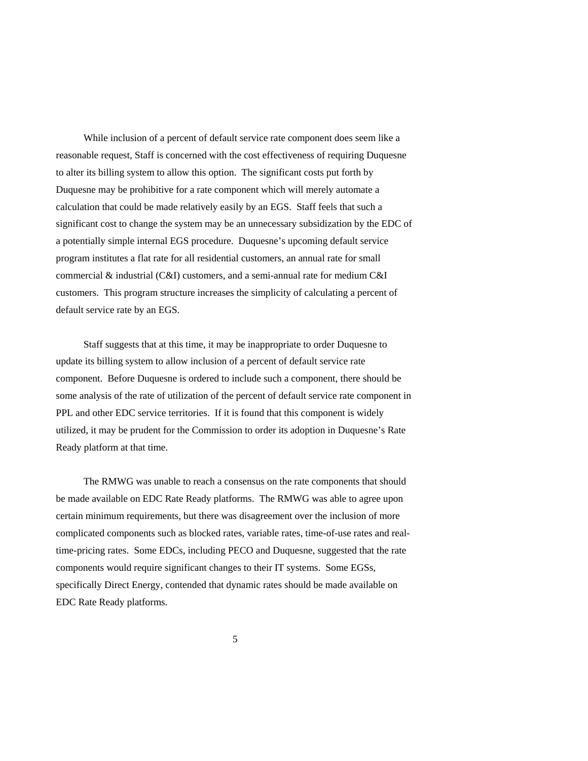While inclusion of a percent of default service rate component does seem like a reasonable request, Staff is concerned with the cost effectiveness of requiring Duquesne to alter its billing system to allow this option. The significant costs put forth by Duquesne may be prohibitive for a rate component which will merely automate a calculation that could be made relatively easily by an EGS. Staff feels that such a significant cost to change the system may be an unnecessary subsidization by the EDC of a potentially simple internal EGS procedure. Duquesne's upcoming default service program institutes a flat rate for all residential customers, an annual rate for small commercial & industrial (C&I) customers, and a semi-annual rate for medium C&I customers. This program structure increases the simplicity of calculating a percent of default service rate by an EGS.

 Staff suggests that at this time, it may be inappropriate to order Duquesne to update its billing system to allow inclusion of a percent of default service rate component. Before Duquesne is ordered to include such a component, there should be some analysis of the rate of utilization of the percent of default service rate component in PPL and other EDC service territories. If it is found that this component is widely utilized, it may be prudent for the Commission to order its adoption in Duquesne's Rate Ready platform at that time.

 The RMWG was unable to reach a consensus on the rate components that should be made available on EDC Rate Ready platforms. The RMWG was able to agree upon certain minimum requirements, but there was disagreement over the inclusion of more complicated components such as blocked rates, variable rates, time-of-use rates and realtime-pricing rates. Some EDCs, including PECO and Duquesne, suggested that the rate components would require significant changes to their IT systems. Some EGSs, specifically Direct Energy, contended that dynamic rates should be made available on EDC Rate Ready platforms.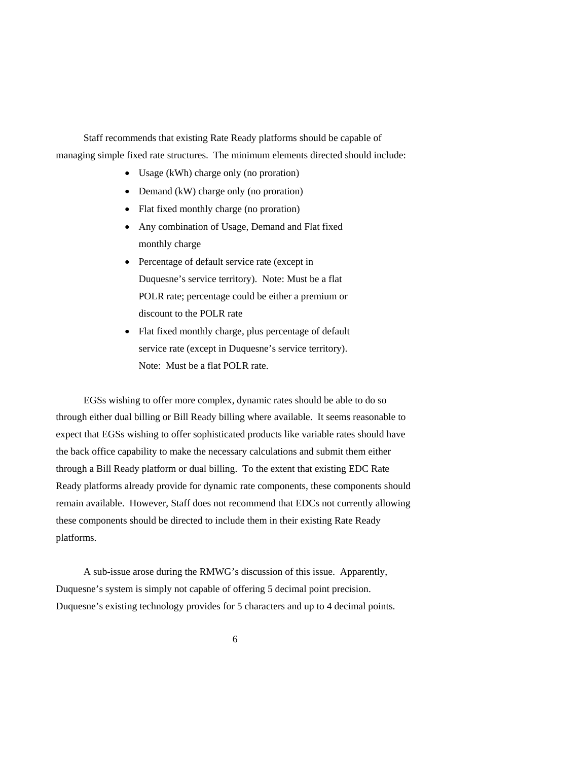Staff recommends that existing Rate Ready platforms should be capable of managing simple fixed rate structures. The minimum elements directed should include:

- Usage (kWh) charge only (no proration)
- Demand (kW) charge only (no proration)
- Flat fixed monthly charge (no proration)
- Any combination of Usage, Demand and Flat fixed monthly charge
- Percentage of default service rate (except in Duquesne's service territory). Note: Must be a flat POLR rate; percentage could be either a premium or discount to the POLR rate
- Flat fixed monthly charge, plus percentage of default service rate (except in Duquesne's service territory). Note: Must be a flat POLR rate.

 EGSs wishing to offer more complex, dynamic rates should be able to do so through either dual billing or Bill Ready billing where available. It seems reasonable to expect that EGSs wishing to offer sophisticated products like variable rates should have the back office capability to make the necessary calculations and submit them either through a Bill Ready platform or dual billing. To the extent that existing EDC Rate Ready platforms already provide for dynamic rate components, these components should remain available. However, Staff does not recommend that EDCs not currently allowing these components should be directed to include them in their existing Rate Ready platforms.

 A sub-issue arose during the RMWG's discussion of this issue. Apparently, Duquesne's system is simply not capable of offering 5 decimal point precision. Duquesne's existing technology provides for 5 characters and up to 4 decimal points.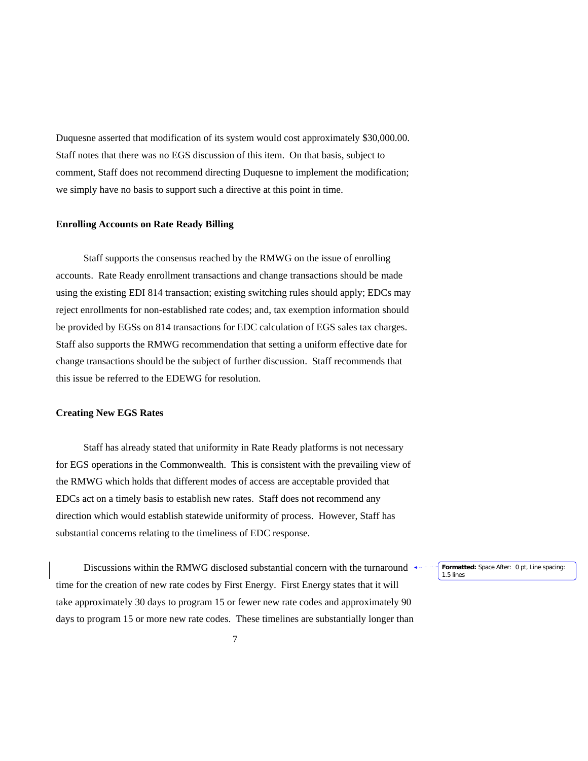Duquesne asserted that modification of its system would cost approximately \$30,000.00. Staff notes that there was no EGS discussion of this item. On that basis, subject to comment, Staff does not recommend directing Duquesne to implement the modification; we simply have no basis to support such a directive at this point in time.

#### **Enrolling Accounts on Rate Ready Billing**

 Staff supports the consensus reached by the RMWG on the issue of enrolling accounts. Rate Ready enrollment transactions and change transactions should be made using the existing EDI 814 transaction; existing switching rules should apply; EDCs may reject enrollments for non-established rate codes; and, tax exemption information should be provided by EGSs on 814 transactions for EDC calculation of EGS sales tax charges. Staff also supports the RMWG recommendation that setting a uniform effective date for change transactions should be the subject of further discussion. Staff recommends that this issue be referred to the EDEWG for resolution.

#### **Creating New EGS Rates**

 Staff has already stated that uniformity in Rate Ready platforms is not necessary for EGS operations in the Commonwealth. This is consistent with the prevailing view of the RMWG which holds that different modes of access are acceptable provided that EDCs act on a timely basis to establish new rates. Staff does not recommend any direction which would establish statewide uniformity of process. However, Staff has substantial concerns relating to the timeliness of EDC response.

Discussions within the RMWG disclosed substantial concern with the turnaround  $\rightarrow$ time for the creation of new rate codes by First Energy. First Energy states that it will take approximately 30 days to program 15 or fewer new rate codes and approximately 90 days to program 15 or more new rate codes. These timelines are substantially longer than 1.5 lines

**Formatted:** Space After: 0 pt, Line spacing: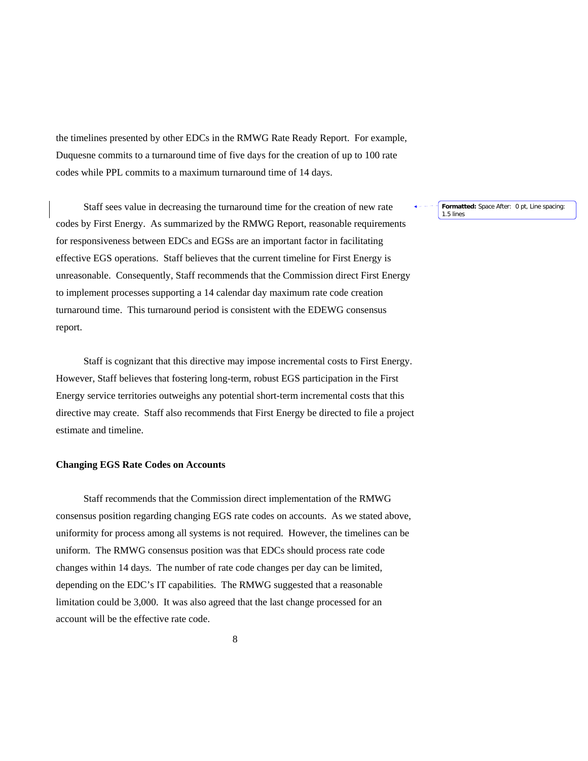the timelines presented by other EDCs in the RMWG Rate Ready Report. For example, Duquesne commits to a turnaround time of five days for the creation of up to 100 rate codes while PPL commits to a maximum turnaround time of 14 days.

 Staff sees value in decreasing the turnaround time for the creation of new rate codes by First Energy. As summarized by the RMWG Report, reasonable requirements for responsiveness between EDCs and EGSs are an important factor in facilitating effective EGS operations. Staff believes that the current timeline for First Energy is unreasonable. Consequently, Staff recommends that the Commission direct First Energy to implement processes supporting a 14 calendar day maximum rate code creation turnaround time. This turnaround period is consistent with the EDEWG consensus report.

 Staff is cognizant that this directive may impose incremental costs to First Energy. However, Staff believes that fostering long-term, robust EGS participation in the First Energy service territories outweighs any potential short-term incremental costs that this directive may create. Staff also recommends that First Energy be directed to file a project estimate and timeline.

# **Changing EGS Rate Codes on Accounts**

Staff recommends that the Commission direct implementation of the RMWG consensus position regarding changing EGS rate codes on accounts. As we stated above, uniformity for process among all systems is not required. However, the timelines can be uniform. The RMWG consensus position was that EDCs should process rate code changes within 14 days. The number of rate code changes per day can be limited, depending on the EDC's IT capabilities. The RMWG suggested that a reasonable limitation could be 3,000. It was also agreed that the last change processed for an account will be the effective rate code.

**Formatted:** Space After: 0 pt, Line spacing: 1.5 lines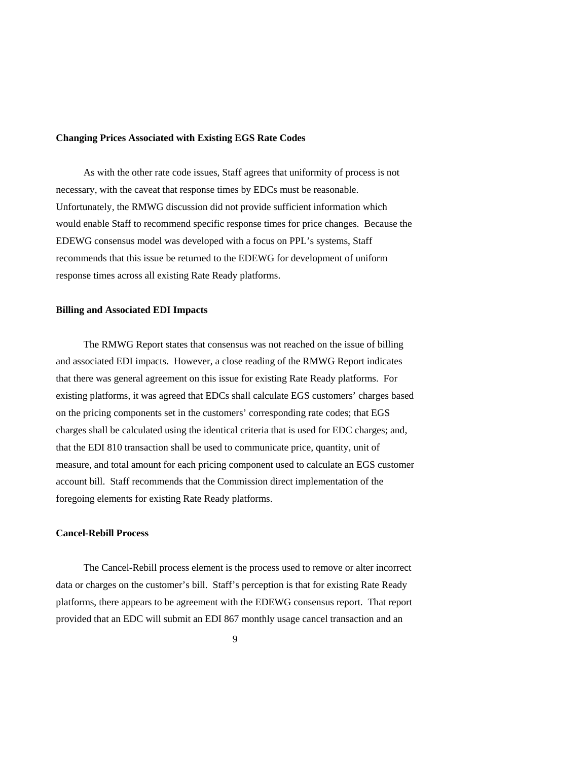### **Changing Prices Associated with Existing EGS Rate Codes**

 As with the other rate code issues, Staff agrees that uniformity of process is not necessary, with the caveat that response times by EDCs must be reasonable. Unfortunately, the RMWG discussion did not provide sufficient information which would enable Staff to recommend specific response times for price changes. Because the EDEWG consensus model was developed with a focus on PPL's systems, Staff recommends that this issue be returned to the EDEWG for development of uniform response times across all existing Rate Ready platforms.

### **Billing and Associated EDI Impacts**

 The RMWG Report states that consensus was not reached on the issue of billing and associated EDI impacts. However, a close reading of the RMWG Report indicates that there was general agreement on this issue for existing Rate Ready platforms. For existing platforms, it was agreed that EDCs shall calculate EGS customers' charges based on the pricing components set in the customers' corresponding rate codes; that EGS charges shall be calculated using the identical criteria that is used for EDC charges; and, that the EDI 810 transaction shall be used to communicate price, quantity, unit of measure, and total amount for each pricing component used to calculate an EGS customer account bill. Staff recommends that the Commission direct implementation of the foregoing elements for existing Rate Ready platforms.

# **Cancel-Rebill Process**

 The Cancel-Rebill process element is the process used to remove or alter incorrect data or charges on the customer's bill. Staff's perception is that for existing Rate Ready platforms, there appears to be agreement with the EDEWG consensus report. That report provided that an EDC will submit an EDI 867 monthly usage cancel transaction and an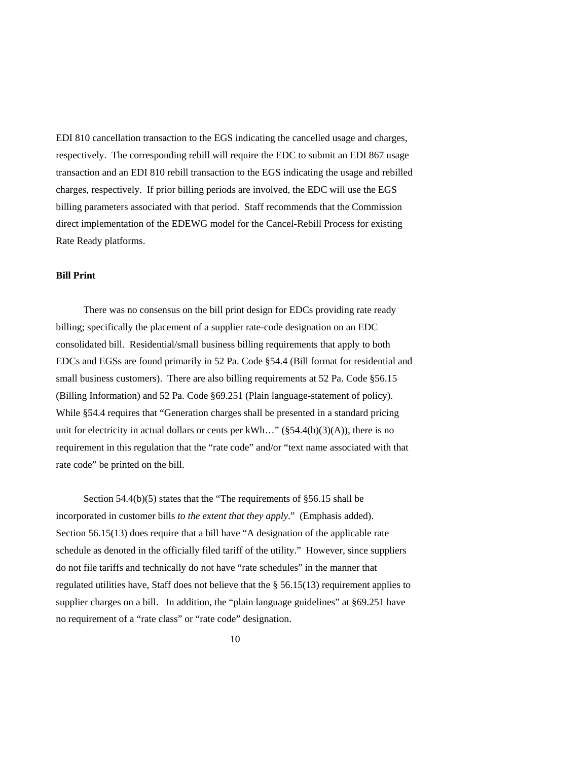EDI 810 cancellation transaction to the EGS indicating the cancelled usage and charges, respectively. The corresponding rebill will require the EDC to submit an EDI 867 usage transaction and an EDI 810 rebill transaction to the EGS indicating the usage and rebilled charges, respectively. If prior billing periods are involved, the EDC will use the EGS billing parameters associated with that period. Staff recommends that the Commission direct implementation of the EDEWG model for the Cancel-Rebill Process for existing Rate Ready platforms.

## **Bill Print**

 There was no consensus on the bill print design for EDCs providing rate ready billing; specifically the placement of a supplier rate-code designation on an EDC consolidated bill. Residential/small business billing requirements that apply to both EDCs and EGSs are found primarily in 52 Pa. Code §54.4 (Bill format for residential and small business customers). There are also billing requirements at 52 Pa. Code §56.15 (Billing Information) and 52 Pa. Code §69.251 (Plain language-statement of policy). While §54.4 requires that "Generation charges shall be presented in a standard pricing unit for electricity in actual dollars or cents per kWh..." ( $\S 54.4(b)(3)(A)$ ), there is no requirement in this regulation that the "rate code" and/or "text name associated with that rate code" be printed on the bill.

 Section 54.4(b)(5) states that the "The requirements of §56.15 shall be incorporated in customer bills *to the extent that they apply*." (Emphasis added). Section 56.15(13) does require that a bill have "A designation of the applicable rate schedule as denoted in the officially filed tariff of the utility." However, since suppliers do not file tariffs and technically do not have "rate schedules" in the manner that regulated utilities have, Staff does not believe that the § 56.15(13) requirement applies to supplier charges on a bill. In addition, the "plain language guidelines" at §69.251 have no requirement of a "rate class" or "rate code" designation.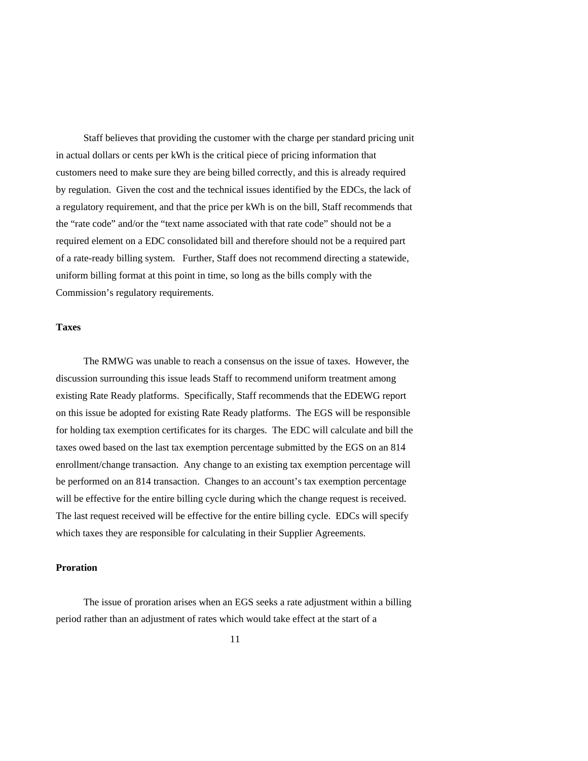Staff believes that providing the customer with the charge per standard pricing unit in actual dollars or cents per kWh is the critical piece of pricing information that customers need to make sure they are being billed correctly, and this is already required by regulation. Given the cost and the technical issues identified by the EDCs, the lack of a regulatory requirement, and that the price per kWh is on the bill, Staff recommends that the "rate code" and/or the "text name associated with that rate code" should not be a required element on a EDC consolidated bill and therefore should not be a required part of a rate-ready billing system. Further, Staff does not recommend directing a statewide, uniform billing format at this point in time, so long as the bills comply with the Commission's regulatory requirements.

### **Taxes**

 The RMWG was unable to reach a consensus on the issue of taxes. However, the discussion surrounding this issue leads Staff to recommend uniform treatment among existing Rate Ready platforms. Specifically, Staff recommends that the EDEWG report on this issue be adopted for existing Rate Ready platforms. The EGS will be responsible for holding tax exemption certificates for its charges. The EDC will calculate and bill the taxes owed based on the last tax exemption percentage submitted by the EGS on an 814 enrollment/change transaction. Any change to an existing tax exemption percentage will be performed on an 814 transaction. Changes to an account's tax exemption percentage will be effective for the entire billing cycle during which the change request is received. The last request received will be effective for the entire billing cycle. EDCs will specify which taxes they are responsible for calculating in their Supplier Agreements.

### **Proration**

 The issue of proration arises when an EGS seeks a rate adjustment within a billing period rather than an adjustment of rates which would take effect at the start of a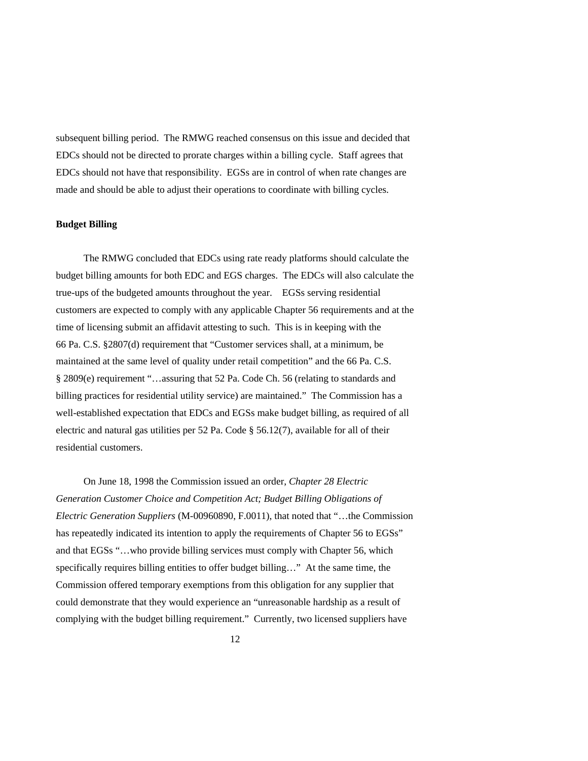subsequent billing period. The RMWG reached consensus on this issue and decided that EDCs should not be directed to prorate charges within a billing cycle. Staff agrees that EDCs should not have that responsibility. EGSs are in control of when rate changes are made and should be able to adjust their operations to coordinate with billing cycles.

# **Budget Billing**

 The RMWG concluded that EDCs using rate ready platforms should calculate the budget billing amounts for both EDC and EGS charges. The EDCs will also calculate the true-ups of the budgeted amounts throughout the year. EGSs serving residential customers are expected to comply with any applicable Chapter 56 requirements and at the time of licensing submit an affidavit attesting to such. This is in keeping with the 66 Pa. C.S. §2807(d) requirement that "Customer services shall, at a minimum, be maintained at the same level of quality under retail competition" and the 66 Pa. C.S. § 2809(e) requirement "…assuring that 52 Pa. Code Ch. 56 (relating to standards and billing practices for residential utility service) are maintained." The Commission has a well-established expectation that EDCs and EGSs make budget billing, as required of all electric and natural gas utilities per 52 Pa. Code § 56.12(7), available for all of their residential customers.

 On June 18, 1998 the Commission issued an order, *Chapter 28 Electric Generation Customer Choice and Competition Act; Budget Billing Obligations of Electric Generation Suppliers* (M-00960890, F.0011), that noted that "…the Commission has repeatedly indicated its intention to apply the requirements of Chapter 56 to EGSs" and that EGSs "…who provide billing services must comply with Chapter 56, which specifically requires billing entities to offer budget billing..." At the same time, the Commission offered temporary exemptions from this obligation for any supplier that could demonstrate that they would experience an "unreasonable hardship as a result of complying with the budget billing requirement." Currently, two licensed suppliers have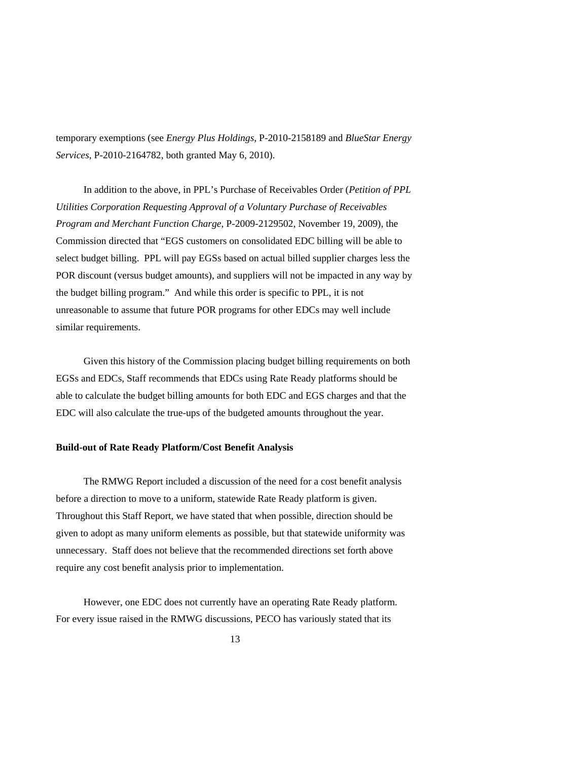temporary exemptions (see *Energy Plus Holdings*, P-2010-2158189 and *BlueStar Energy Services*, P-2010-2164782, both granted May 6, 2010).

 In addition to the above, in PPL's Purchase of Receivables Order (*Petition of PPL Utilities Corporation Requesting Approval of a Voluntary Purchase of Receivables Program and Merchant Function Charge*, P-2009-2129502, November 19, 2009), the Commission directed that "EGS customers on consolidated EDC billing will be able to select budget billing. PPL will pay EGSs based on actual billed supplier charges less the POR discount (versus budget amounts), and suppliers will not be impacted in any way by the budget billing program." And while this order is specific to PPL, it is not unreasonable to assume that future POR programs for other EDCs may well include similar requirements.

 Given this history of the Commission placing budget billing requirements on both EGSs and EDCs, Staff recommends that EDCs using Rate Ready platforms should be able to calculate the budget billing amounts for both EDC and EGS charges and that the EDC will also calculate the true-ups of the budgeted amounts throughout the year.

## **Build-out of Rate Ready Platform/Cost Benefit Analysis**

 The RMWG Report included a discussion of the need for a cost benefit analysis before a direction to move to a uniform, statewide Rate Ready platform is given. Throughout this Staff Report, we have stated that when possible, direction should be given to adopt as many uniform elements as possible, but that statewide uniformity was unnecessary. Staff does not believe that the recommended directions set forth above require any cost benefit analysis prior to implementation.

 However, one EDC does not currently have an operating Rate Ready platform. For every issue raised in the RMWG discussions, PECO has variously stated that its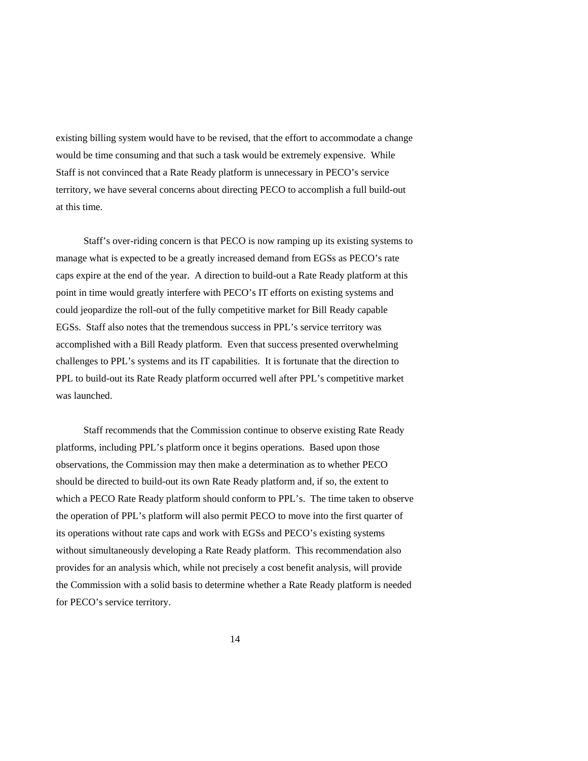existing billing system would have to be revised, that the effort to accommodate a change would be time consuming and that such a task would be extremely expensive. While Staff is not convinced that a Rate Ready platform is unnecessary in PECO's service territory, we have several concerns about directing PECO to accomplish a full build-out at this time.

 Staff's over-riding concern is that PECO is now ramping up its existing systems to manage what is expected to be a greatly increased demand from EGSs as PECO's rate caps expire at the end of the year. A direction to build-out a Rate Ready platform at this point in time would greatly interfere with PECO's IT efforts on existing systems and could jeopardize the roll-out of the fully competitive market for Bill Ready capable EGSs. Staff also notes that the tremendous success in PPL's service territory was accomplished with a Bill Ready platform. Even that success presented overwhelming challenges to PPL's systems and its IT capabilities. It is fortunate that the direction to PPL to build-out its Rate Ready platform occurred well after PPL's competitive market was launched.

 Staff recommends that the Commission continue to observe existing Rate Ready platforms, including PPL's platform once it begins operations. Based upon those observations, the Commission may then make a determination as to whether PECO should be directed to build-out its own Rate Ready platform and, if so, the extent to which a PECO Rate Ready platform should conform to PPL's. The time taken to observe the operation of PPL's platform will also permit PECO to move into the first quarter of its operations without rate caps and work with EGSs and PECO's existing systems without simultaneously developing a Rate Ready platform. This recommendation also provides for an analysis which, while not precisely a cost benefit analysis, will provide the Commission with a solid basis to determine whether a Rate Ready platform is needed for PECO's service territory.